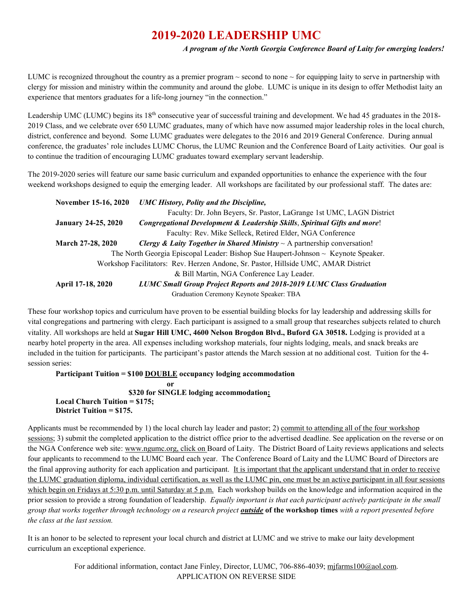## **2019-2020 LEADERSHIP UMC**

## *A program of the North Georgia Conference Board of Laity for emerging leaders!*

LUMC is recognized throughout the country as a premier program  $\sim$  second to none  $\sim$  for equipping laity to serve in partnership with clergy for mission and ministry within the community and around the globe. LUMC is unique in its design to offer Methodist laity an experience that mentors graduates for a life-long journey "in the connection."

Leadership UMC (LUMC) begins its 18<sup>th</sup> consecutive year of successful training and development. We had 45 graduates in the 2018-2019 Class, and we celebrate over 650 LUMC graduates, many of which have now assumed major leadership roles in the local church, district, conference and beyond. Some LUMC graduates were delegates to the 2016 and 2019 General Conference. During annual conference, the graduates' role includes LUMC Chorus, the LUMC Reunion and the Conference Board of Laity activities. Our goal is to continue the tradition of encouraging LUMC graduates toward exemplary servant leadership.

The 2019-2020 series will feature our same basic curriculum and expanded opportunities to enhance the experience with the four weekend workshops designed to equip the emerging leader. All workshops are facilitated by our professional staff. The dates are:

| November 15-16, 2020                                                               | <b>UMC History, Polity and the Discipline,</b>                                         |  |  |
|------------------------------------------------------------------------------------|----------------------------------------------------------------------------------------|--|--|
|                                                                                    | Faculty: Dr. John Beyers, Sr. Pastor, LaGrange 1st UMC, LAGN District                  |  |  |
| <b>January 24-25, 2020</b>                                                         | Congregational Development & Leadership Skills, Spiritual Gifts and more!              |  |  |
|                                                                                    | Faculty: Rev. Mike Selleck, Retired Elder, NGA Conference                              |  |  |
| March 27-28, 2020                                                                  | Clergy & Laity Together in Shared Ministry $\sim$ A partnership conversation!          |  |  |
|                                                                                    | The North Georgia Episcopal Leader: Bishop Sue Haupert-Johnson $\sim$ Keynote Speaker. |  |  |
| Workshop Facilitators: Rev. Herzen Andone, Sr. Pastor, Hillside UMC, AMAR District |                                                                                        |  |  |
|                                                                                    | & Bill Martin, NGA Conference Lay Leader.                                              |  |  |
| April 17-18, 2020                                                                  | <b>LUMC Small Group Project Reports and 2018-2019 LUMC Class Graduation</b>            |  |  |
|                                                                                    | Graduation Ceremony Keynote Speaker: TBA                                               |  |  |

These four workshop topics and curriculum have proven to be essential building blocks for lay leadership and addressing skills for vital congregations and partnering with clergy. Each participant is assigned to a small group that researches subjects related to church vitality. All workshops are held at **Sugar Hill UMC, 4600 Nelson Brogdon Blvd., Buford GA 30518.** Lodging is provided at a nearby hotel property in the area. All expenses including workshop materials, four nights lodging, meals, and snack breaks are included in the tuition for participants. The participant's pastor attends the March session at no additional cost. Tuition for the 4 session series:

**Participant Tuition = \$100 DOUBLE occupancy lodging accommodation** 

 **or \$320 for SINGLE lodging accommodation; Local Church Tuition = \$175; District Tuition = \$175.**

Applicants must be recommended by 1) the local church lay leader and pastor; 2) commit to attending all of the four workshop sessions; 3) submit the completed application to the district office prior to the advertised deadline. See application on the reverse or on the NGA Conference web site: [www.ngumc.org,](http://www.ngumc.org/) click on Board of Laity. The District Board of Laity reviews applications and selects four applicants to recommend to the LUMC Board each year. The Conference Board of Laity and the LUMC Board of Directors are the final approving authority for each application and participant. It is important that the applicant understand that in order to receive the LUMC graduation diploma, individual certification, as well as the LUMC pin, one must be an active participant in all four sessions which begin on Fridays at 5:30 p.m. until Saturday at 5 p.m. Each workshop builds on the knowledge and information acquired in the prior session to provide a strong foundation of leadership. *Equally important is that each participant actively participate in the small group that works together through technology on a research project outside* **of the workshop times** *with a report presented before the class at the last session.* 

It is an honor to be selected to represent your local church and district at LUMC and we strive to make our laity development curriculum an exceptional experience.

> For additional information, contact Jane Finley, Director, LUMC, 706-886-4039[; mjfarms100@aol.com.](mailto:mjfarms100@aol.com) APPLICATION ON REVERSE SIDE